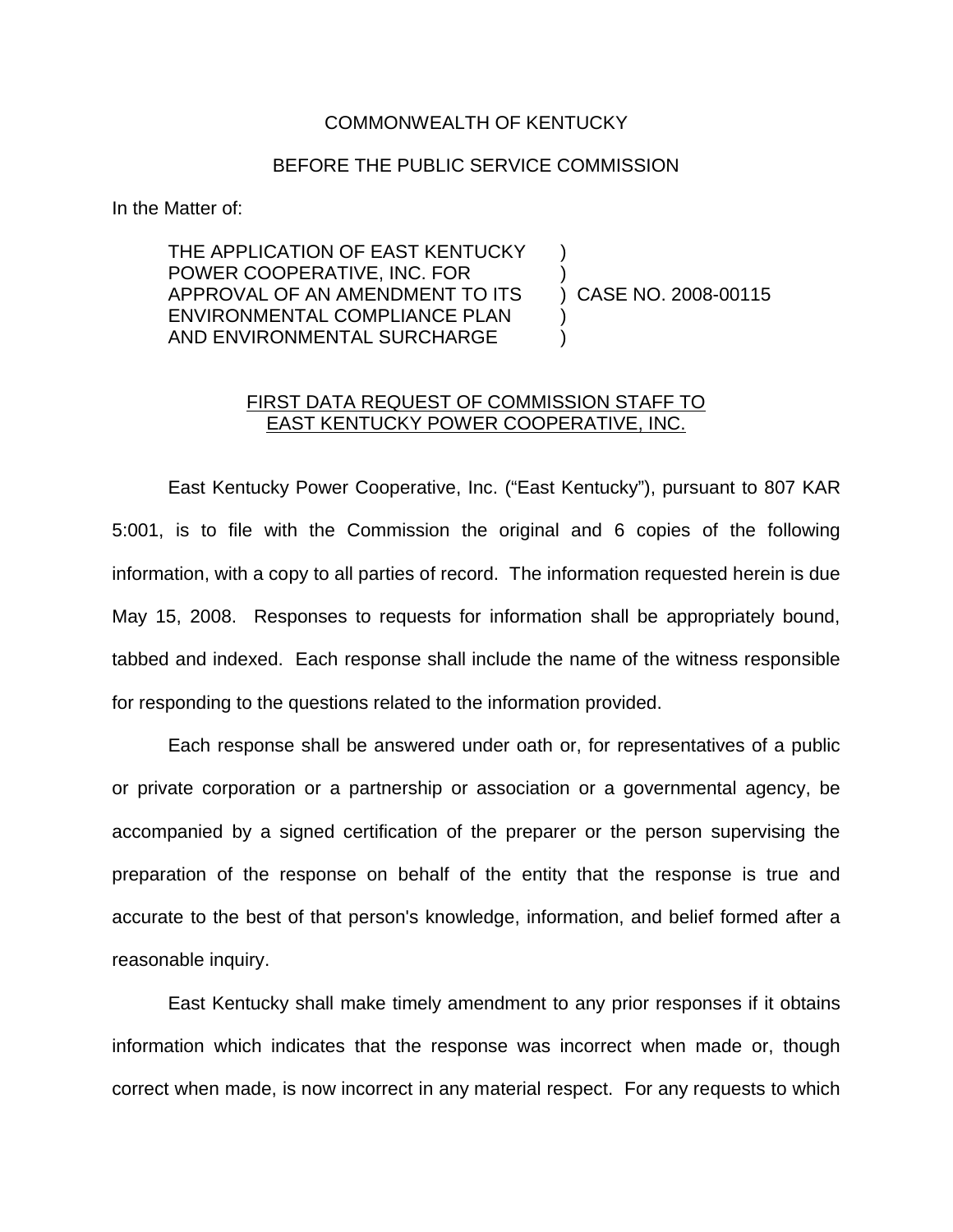## COMMONWEALTH OF KENTUCKY

## BEFORE THE PUBLIC SERVICE COMMISSION

In the Matter of:

THE APPLICATION OF EAST KENTUCKY POWER COOPERATIVE, INC. FOR ) APPROVAL OF AN AMENDMENT TO ITS ) CASE NO. 2008-00115 ENVIRONMENTAL COMPLIANCE PLAN AND ENVIRONMENTAL SURCHARGE

## FIRST DATA REQUEST OF COMMISSION STAFF TO EAST KENTUCKY POWER COOPERATIVE, INC.

East Kentucky Power Cooperative, Inc. ("East Kentucky"), pursuant to 807 KAR 5:001, is to file with the Commission the original and 6 copies of the following information, with a copy to all parties of record. The information requested herein is due May 15, 2008. Responses to requests for information shall be appropriately bound, tabbed and indexed. Each response shall include the name of the witness responsible for responding to the questions related to the information provided.

Each response shall be answered under oath or, for representatives of a public or private corporation or a partnership or association or a governmental agency, be accompanied by a signed certification of the preparer or the person supervising the preparation of the response on behalf of the entity that the response is true and accurate to the best of that person's knowledge, information, and belief formed after a reasonable inquiry.

East Kentucky shall make timely amendment to any prior responses if it obtains information which indicates that the response was incorrect when made or, though correct when made, is now incorrect in any material respect. For any requests to which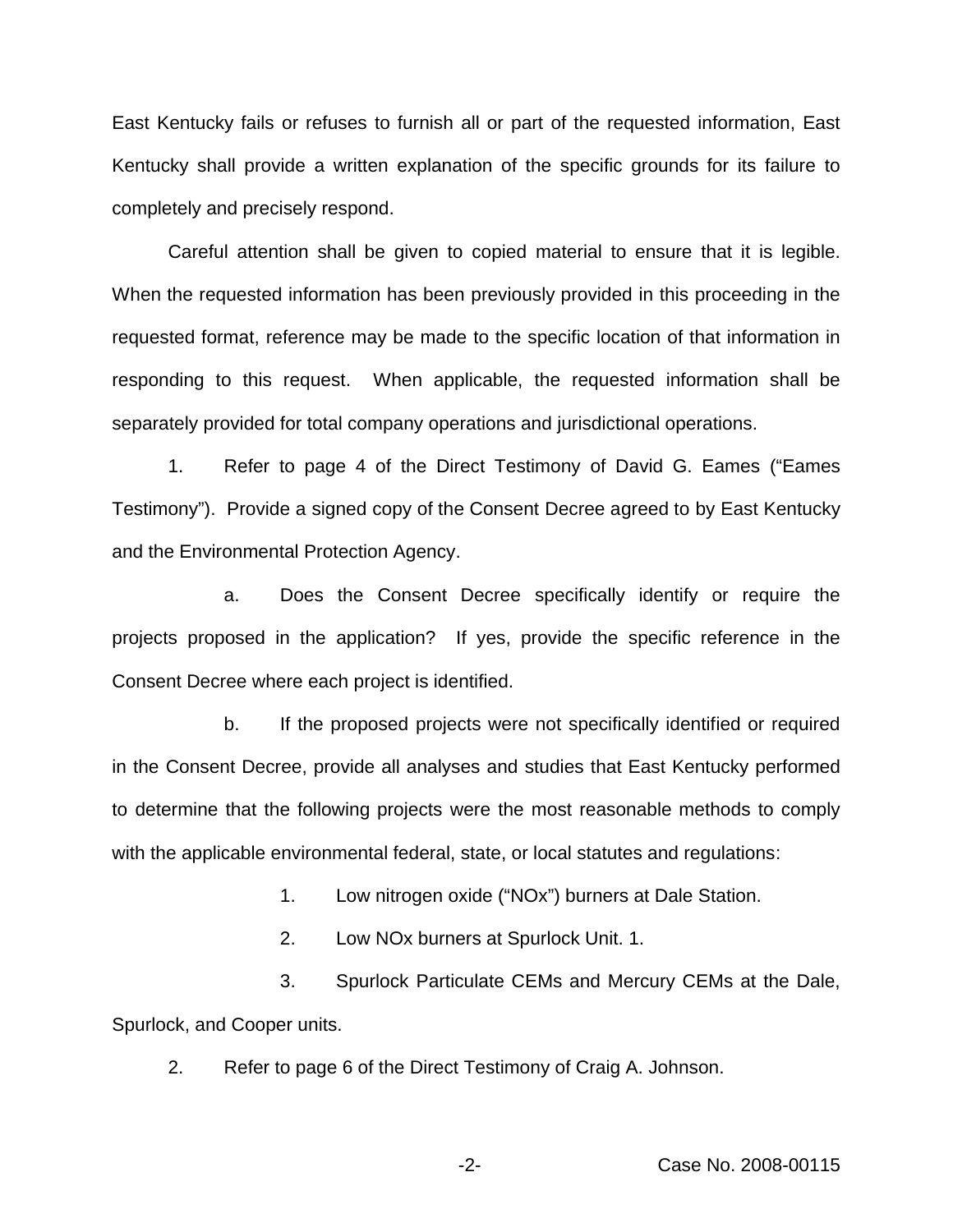East Kentucky fails or refuses to furnish all or part of the requested information, East Kentucky shall provide a written explanation of the specific grounds for its failure to completely and precisely respond.

Careful attention shall be given to copied material to ensure that it is legible. When the requested information has been previously provided in this proceeding in the requested format, reference may be made to the specific location of that information in responding to this request. When applicable, the requested information shall be separately provided for total company operations and jurisdictional operations.

1. Refer to page 4 of the Direct Testimony of David G. Eames ("Eames Testimony"). Provide a signed copy of the Consent Decree agreed to by East Kentucky and the Environmental Protection Agency.

a. Does the Consent Decree specifically identify or require the projects proposed in the application? If yes, provide the specific reference in the Consent Decree where each project is identified.

b. If the proposed projects were not specifically identified or required in the Consent Decree, provide all analyses and studies that East Kentucky performed to determine that the following projects were the most reasonable methods to comply with the applicable environmental federal, state, or local statutes and regulations:

1. Low nitrogen oxide ("NOx") burners at Dale Station.

2. Low NOx burners at Spurlock Unit. 1.

3. Spurlock Particulate CEMs and Mercury CEMs at the Dale, Spurlock, and Cooper units.

2. Refer to page 6 of the Direct Testimony of Craig A. Johnson.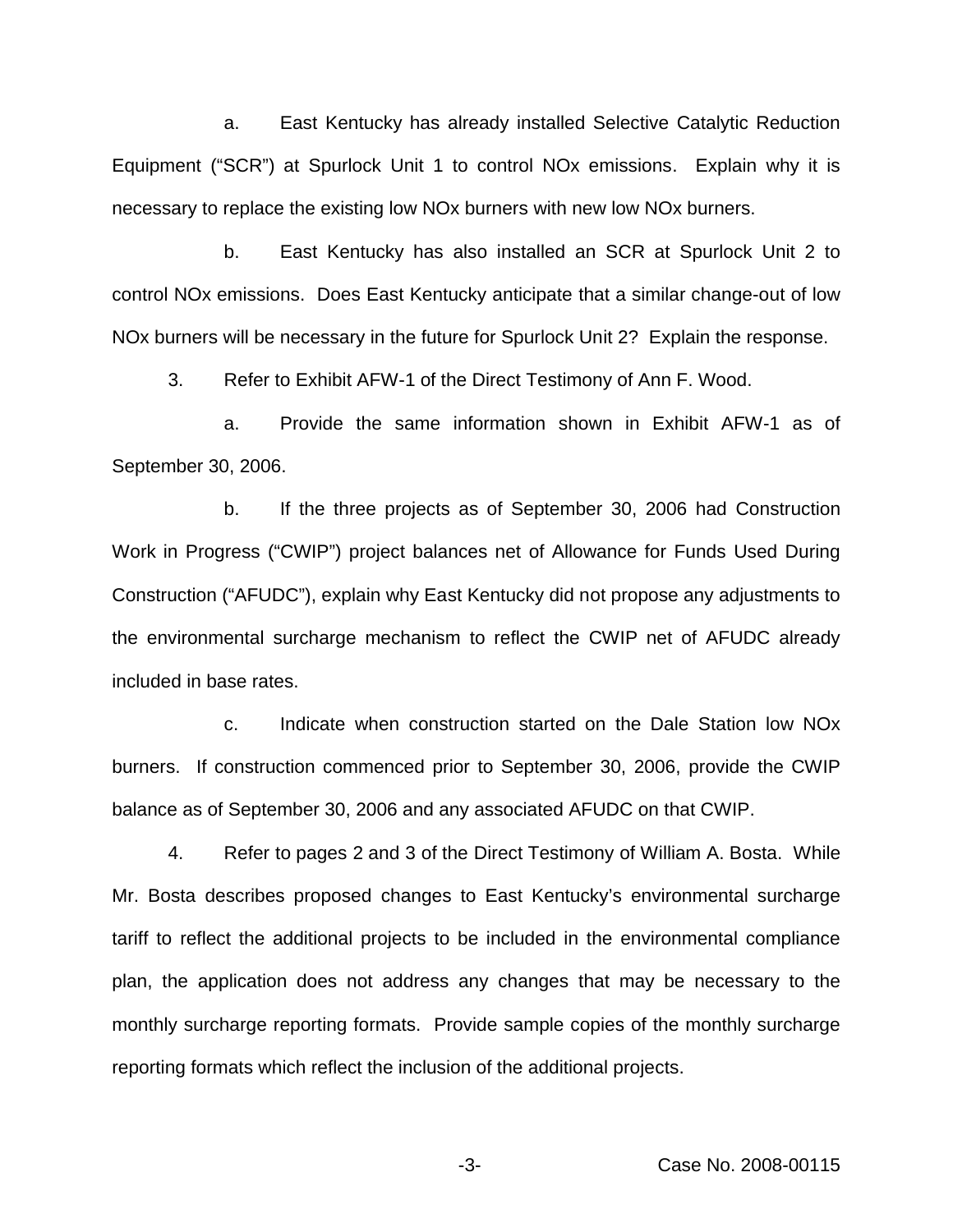a. East Kentucky has already installed Selective Catalytic Reduction Equipment ("SCR") at Spurlock Unit 1 to control NOx emissions. Explain why it is necessary to replace the existing low NOx burners with new low NOx burners.

b. East Kentucky has also installed an SCR at Spurlock Unit 2 to control NOx emissions. Does East Kentucky anticipate that a similar change-out of low NOx burners will be necessary in the future for Spurlock Unit 2? Explain the response.

3. Refer to Exhibit AFW-1 of the Direct Testimony of Ann F. Wood.

a. Provide the same information shown in Exhibit AFW-1 as of September 30, 2006.

b. If the three projects as of September 30, 2006 had Construction Work in Progress ("CWIP") project balances net of Allowance for Funds Used During Construction ("AFUDC"), explain why East Kentucky did not propose any adjustments to the environmental surcharge mechanism to reflect the CWIP net of AFUDC already included in base rates.

c. Indicate when construction started on the Dale Station low NOx burners. If construction commenced prior to September 30, 2006, provide the CWIP balance as of September 30, 2006 and any associated AFUDC on that CWIP.

4. Refer to pages 2 and 3 of the Direct Testimony of William A. Bosta. While Mr. Bosta describes proposed changes to East Kentucky's environmental surcharge tariff to reflect the additional projects to be included in the environmental compliance plan, the application does not address any changes that may be necessary to the monthly surcharge reporting formats. Provide sample copies of the monthly surcharge reporting formats which reflect the inclusion of the additional projects.